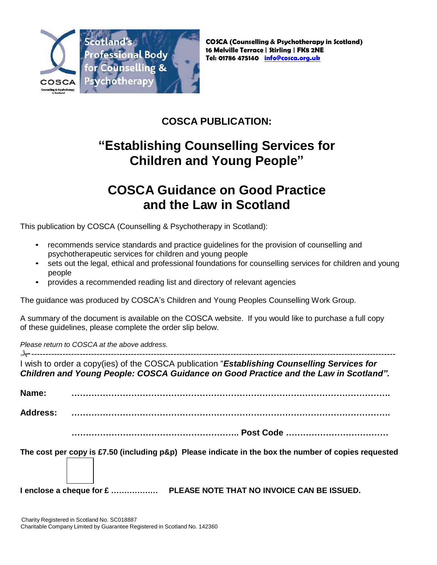

#### **COSCA PUBLICATION:**

# **"Establishing Counselling Services for Children and Young People"**

## **COSCA Guidance on Good Practice and the Law in Scotland**

This publication by COSCA (Counselling & Psychotherapy in Scotland):

- recommends service standards and practice guidelines for the provision of counselling and psychotherapeutic services for children and young people
- sets out the legal, ethical and professional foundations for counselling services for children and young people
- provides a recommended reading list and directory of relevant agencies

The guidance was produced by COSCA's Children and Young Peoples Counselling Work Group.

A summary of the document is available on the COSCA website. If you would like to purchase a full copy of these guidelines, please complete the order slip below.

*Please return to COSCA at the above address.*

-------------------------------------------------------------------------------------------------------------------------------- I wish to order a copy(ies) of the COSCA publication "*Establishing Counselling Services for Children and Young People: COSCA Guidance on Good Practice and the Law in Scotland".*

**Name: ………………………………………………………………………………………………….** 

**Address: ………………………………………………………………………………………………….**

**………………………………………………….. Post Code ………………………………**

**The cost per copy is £7.50 (including p&p) Please indicate in the box the number of copies requested**

**I enclose a cheque for £ ……………… PLEASE NOTE THAT NO INVOICE CAN BE ISSUED.**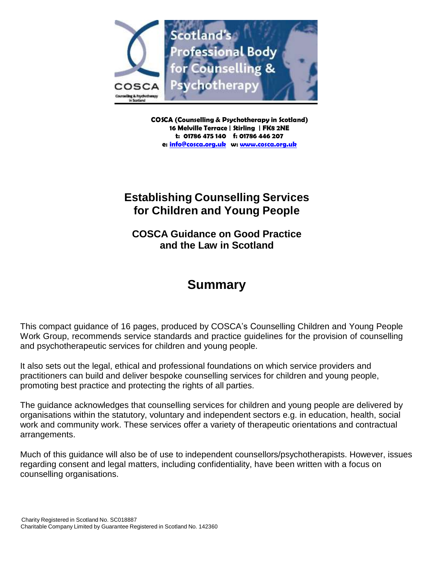

**COSCA (Counselling & Psychotherapy in Scotland) 16 Melville Terrace | Stirling | FK8 2NE t: 01786 475 140 f: 01786 446 207 e: [info@cosca.org.uk](mailto:info@cosca.org.uk) w: [www.cosca.org.uk](http://www.cosca.org.uk/)**

#### **Establishing Counselling Services for Children and Young People**

**COSCA Guidance on Good Practice and the Law in Scotland**

### **Summary**

This compact guidance of 16 pages, produced by COSCA's Counselling Children and Young People Work Group, recommends service standards and practice guidelines for the provision of counselling and psychotherapeutic services for children and young people.

It also sets out the legal, ethical and professional foundations on which service providers and practitioners can build and deliver bespoke counselling services for children and young people, promoting best practice and protecting the rights of all parties.

The guidance acknowledges that counselling services for children and young people are delivered by organisations within the statutory, voluntary and independent sectors e.g. in education, health, social work and community work. These services offer a variety of therapeutic orientations and contractual arrangements.

Much of this guidance will also be of use to independent counsellors/psychotherapists. However, issues regarding consent and legal matters, including confidentiality, have been written with a focus on counselling organisations.